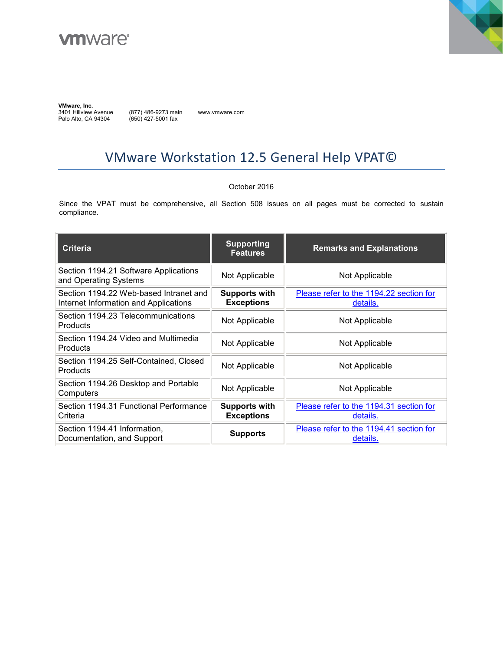



**VMware, Inc.** 

3401 Hillview Avenue Palo Alto, CA 94304

(877) 486-9273 main (650) 427-5001 fax

www.vmware.com

# VMware Workstation 12.5 General Help VPAT©

#### October 2016

Since the VPAT must be comprehensive, all Section 508 issues on all pages must be corrected to sustain compliance.

| <b>Criteria</b>                                                                 | <b>Supporting</b><br><b>Features</b>      | <b>Remarks and Explanations</b>                     |
|---------------------------------------------------------------------------------|-------------------------------------------|-----------------------------------------------------|
| Section 1194.21 Software Applications<br>and Operating Systems                  | Not Applicable                            | Not Applicable                                      |
| Section 1194.22 Web-based Intranet and<br>Internet Information and Applications | Supports with<br><b>Exceptions</b>        | Please refer to the 1194.22 section for<br>details. |
| Section 1194.23 Telecommunications<br><b>Products</b>                           | Not Applicable                            | Not Applicable                                      |
| Section 1194.24 Video and Multimedia<br>Products                                | Not Applicable                            | Not Applicable                                      |
| Section 1194.25 Self-Contained, Closed<br><b>Products</b>                       | Not Applicable                            | Not Applicable                                      |
| Section 1194.26 Desktop and Portable<br>Computers                               | Not Applicable                            | Not Applicable                                      |
| Section 1194.31 Functional Performance<br>Criteria                              | <b>Supports with</b><br><b>Exceptions</b> | Please refer to the 1194.31 section for<br>details. |
| Section 1194.41 Information,<br>Documentation, and Support                      | <b>Supports</b>                           | Please refer to the 1194.41 section for<br>details. |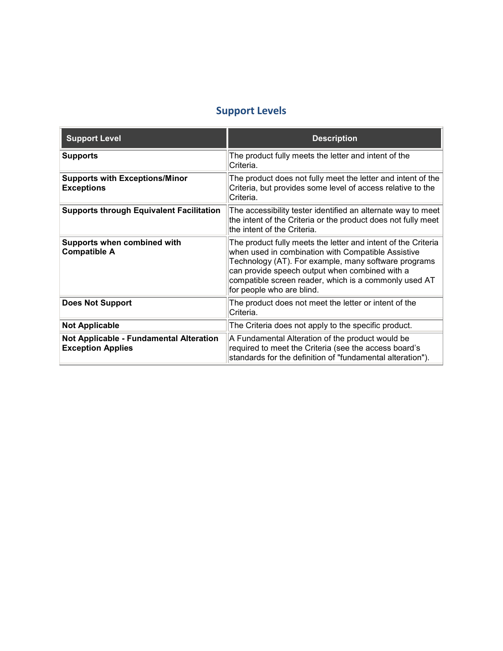### **Support Levels**

| <b>Support Level</b>                                                       | <b>Description</b>                                                                                                                                                                                                                                                                                                  |
|----------------------------------------------------------------------------|---------------------------------------------------------------------------------------------------------------------------------------------------------------------------------------------------------------------------------------------------------------------------------------------------------------------|
| <b>Supports</b>                                                            | The product fully meets the letter and intent of the<br>Criteria.                                                                                                                                                                                                                                                   |
| <b>Supports with Exceptions/Minor</b><br><b>Exceptions</b>                 | The product does not fully meet the letter and intent of the<br>Criteria, but provides some level of access relative to the<br>Criteria.                                                                                                                                                                            |
| <b>Supports through Equivalent Facilitation</b>                            | The accessibility tester identified an alternate way to meet<br>the intent of the Criteria or the product does not fully meet<br>the intent of the Criteria.                                                                                                                                                        |
| Supports when combined with<br><b>Compatible A</b>                         | The product fully meets the letter and intent of the Criteria<br>when used in combination with Compatible Assistive<br>Technology (AT). For example, many software programs<br>can provide speech output when combined with a<br>compatible screen reader, which is a commonly used AT<br>for people who are blind. |
| <b>Does Not Support</b>                                                    | The product does not meet the letter or intent of the<br>Criteria.                                                                                                                                                                                                                                                  |
| <b>Not Applicable</b>                                                      | The Criteria does not apply to the specific product.                                                                                                                                                                                                                                                                |
| <b>Not Applicable - Fundamental Alteration</b><br><b>Exception Applies</b> | A Fundamental Alteration of the product would be<br>required to meet the Criteria (see the access board's<br>standards for the definition of "fundamental alteration").                                                                                                                                             |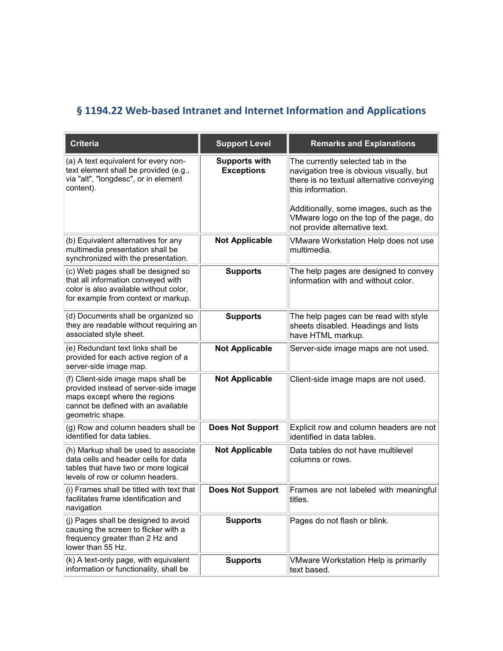## <span id="page-2-0"></span>**§ 1194.22 Web-based Intranet and Internet Information and Applications**

| <b>Criteria</b>                                                                                                                                                          | <b>Support Level</b>                      | <b>Remarks and Explanations</b>                                                                                                                                                           |
|--------------------------------------------------------------------------------------------------------------------------------------------------------------------------|-------------------------------------------|-------------------------------------------------------------------------------------------------------------------------------------------------------------------------------------------|
| (a) A text equivalent for every non-<br>text element shall be provided (e.g.,<br>via "alt", "longdesc", or in element<br>content).                                       | <b>Supports with</b><br><b>Exceptions</b> | The currently selected tab in the<br>navigation tree is obvious visually, but<br>there is no textual alternative conveying<br>this information.<br>Additionally, some images, such as the |
|                                                                                                                                                                          |                                           | VMware logo on the top of the page, do<br>not provide alternative text.                                                                                                                   |
| (b) Equivalent alternatives for any<br>multimedia presentation shall be<br>synchronized with the presentation.                                                           | <b>Not Applicable</b>                     | VMware Workstation Help does not use<br>multimedia.                                                                                                                                       |
| (c) Web pages shall be designed so<br>that all information conveyed with<br>color is also available without color,<br>for example from context or markup.                | <b>Supports</b>                           | The help pages are designed to convey<br>information with and without color.                                                                                                              |
| (d) Documents shall be organized so<br>they are readable without requiring an<br>associated style sheet.                                                                 | <b>Supports</b>                           | The help pages can be read with style<br>sheets disabled. Headings and lists<br>have HTML markup.                                                                                         |
| (e) Redundant text links shall be<br>provided for each active region of a<br>server-side image map.                                                                      | <b>Not Applicable</b>                     | Server-side image maps are not used.                                                                                                                                                      |
| (f) Client-side image maps shall be<br>provided instead of server-side image<br>maps except where the regions<br>cannot be defined with an available<br>geometric shape. | <b>Not Applicable</b>                     | Client-side image maps are not used.                                                                                                                                                      |
| (g) Row and column headers shall be<br>identified for data tables.                                                                                                       | <b>Does Not Support</b>                   | Explicit row and column headers are not<br>lidentified in data tables.                                                                                                                    |
| (h) Markup shall be used to associate<br>data cells and header cells for data<br>tables that have two or more logical<br>levels of row or column headers.                | <b>Not Applicable</b>                     | Data tables do not have multilevel<br>columns or rows.                                                                                                                                    |
| (i) Frames shall be titled with text that<br>facilitates frame identification and<br>navigation                                                                          | <b>Does Not Support</b>                   | Frames are not labeled with meaningful<br>titles.                                                                                                                                         |
| (i) Pages shall be designed to avoid<br>causing the screen to flicker with a<br>frequency greater than 2 Hz and<br>lower than 55 Hz.                                     | <b>Supports</b>                           | Pages do not flash or blink.                                                                                                                                                              |
| (k) A text-only page, with equivalent<br>information or functionality, shall be                                                                                          | <b>Supports</b>                           | <b>VMware Workstation Help is primarily</b><br>text based.                                                                                                                                |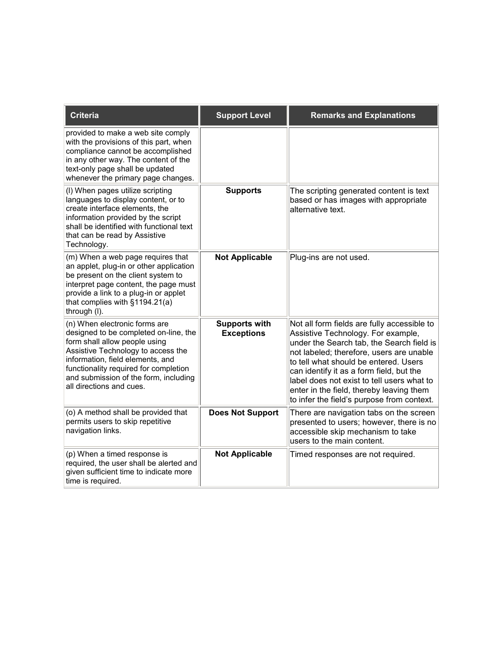| Criteria                                                                                                                                                                                                                                                                                        | <b>Support Level</b>                      | <b>Remarks and Explanations</b>                                                                                                                                                                                                                                                                                                                                                                         |
|-------------------------------------------------------------------------------------------------------------------------------------------------------------------------------------------------------------------------------------------------------------------------------------------------|-------------------------------------------|---------------------------------------------------------------------------------------------------------------------------------------------------------------------------------------------------------------------------------------------------------------------------------------------------------------------------------------------------------------------------------------------------------|
| provided to make a web site comply<br>with the provisions of this part, when<br>compliance cannot be accomplished<br>in any other way. The content of the<br>text-only page shall be updated<br>whenever the primary page changes.                                                              |                                           |                                                                                                                                                                                                                                                                                                                                                                                                         |
| (I) When pages utilize scripting<br>languages to display content, or to<br>create interface elements, the<br>information provided by the script<br>shall be identified with functional text<br>that can be read by Assistive<br>Technology.                                                     | <b>Supports</b>                           | The scripting generated content is text<br>based or has images with appropriate<br>alternative text.                                                                                                                                                                                                                                                                                                    |
| (m) When a web page requires that<br>an applet, plug-in or other application<br>be present on the client system to<br>interpret page content, the page must<br>provide a link to a plug-in or applet<br>that complies with §1194.21(a)<br>through (I).                                          | <b>Not Applicable</b>                     | Plug-ins are not used.                                                                                                                                                                                                                                                                                                                                                                                  |
| (n) When electronic forms are<br>designed to be completed on-line, the<br>form shall allow people using<br>Assistive Technology to access the<br>information, field elements, and<br>functionality required for completion<br>and submission of the form, including<br>all directions and cues. | <b>Supports with</b><br><b>Exceptions</b> | Not all form fields are fully accessible to<br>Assistive Technology. For example,<br>under the Search tab, the Search field is<br>not labeled; therefore, users are unable<br>to tell what should be entered. Users<br>can identify it as a form field, but the<br>label does not exist to tell users what to<br>enter in the field, thereby leaving them<br>to infer the field's purpose from context. |
| (o) A method shall be provided that<br>permits users to skip repetitive<br>navigation links.                                                                                                                                                                                                    | <b>Does Not Support</b>                   | There are navigation tabs on the screen<br>presented to users; however, there is no<br>accessible skip mechanism to take<br>users to the main content.                                                                                                                                                                                                                                                  |
| (p) When a timed response is<br>required, the user shall be alerted and<br>given sufficient time to indicate more<br>time is required.                                                                                                                                                          | <b>Not Applicable</b>                     | Timed responses are not required.                                                                                                                                                                                                                                                                                                                                                                       |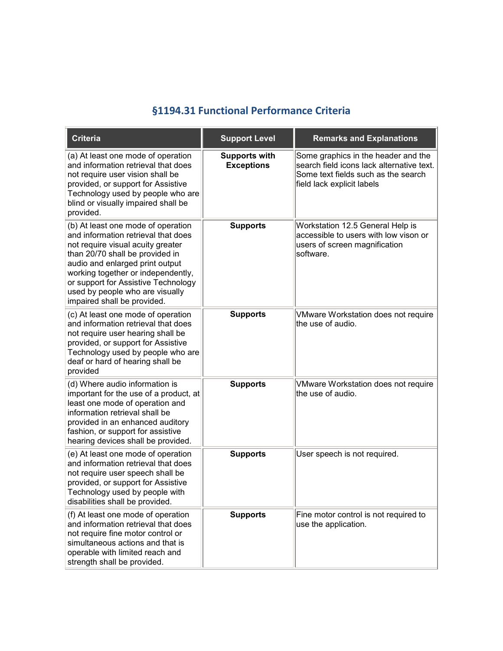#### **§1194.31 Functional Performance Criteria**

<span id="page-4-0"></span>

| <b>Criteria</b>                                                                                                                                                                                                                                                                                                                     | <b>Support Level</b>                      | <b>Remarks and Explanations</b>                                                                                                                       |
|-------------------------------------------------------------------------------------------------------------------------------------------------------------------------------------------------------------------------------------------------------------------------------------------------------------------------------------|-------------------------------------------|-------------------------------------------------------------------------------------------------------------------------------------------------------|
| (a) At least one mode of operation<br>and information retrieval that does<br>not require user vision shall be<br>provided, or support for Assistive<br>Technology used by people who are<br>blind or visually impaired shall be<br>provided.                                                                                        | <b>Supports with</b><br><b>Exceptions</b> | Some graphics in the header and the<br>search field icons lack alternative text.<br>Some text fields such as the search<br>field lack explicit labels |
| (b) At least one mode of operation<br>and information retrieval that does<br>not require visual acuity greater<br>than 20/70 shall be provided in<br>audio and enlarged print output<br>working together or independently,<br>or support for Assistive Technology<br>used by people who are visually<br>impaired shall be provided. | <b>Supports</b>                           | Workstation 12.5 General Help is<br>accessible to users with low vison or<br>users of screen magnification<br>software.                               |
| (c) At least one mode of operation<br>and information retrieval that does<br>not require user hearing shall be<br>provided, or support for Assistive<br>Technology used by people who are<br>deaf or hard of hearing shall be<br>provided                                                                                           | <b>Supports</b>                           | <b>VMware Workstation does not require</b><br>the use of audio.                                                                                       |
| (d) Where audio information is<br>important for the use of a product, at<br>least one mode of operation and<br>information retrieval shall be<br>provided in an enhanced auditory<br>fashion, or support for assistive<br>hearing devices shall be provided.                                                                        | <b>Supports</b>                           | VMware Workstation does not require<br>the use of audio.                                                                                              |
| (e) At least one mode of operation<br>and information retrieval that does<br>not require user speech shall be<br>provided, or support for Assistive<br>Technology used by people with<br>disabilities shall be provided.                                                                                                            | <b>Supports</b>                           | User speech is not required.                                                                                                                          |
| (f) At least one mode of operation<br>and information retrieval that does<br>not require fine motor control or<br>simultaneous actions and that is<br>operable with limited reach and<br>strength shall be provided.                                                                                                                | <b>Supports</b>                           | Fine motor control is not required to<br>use the application.                                                                                         |